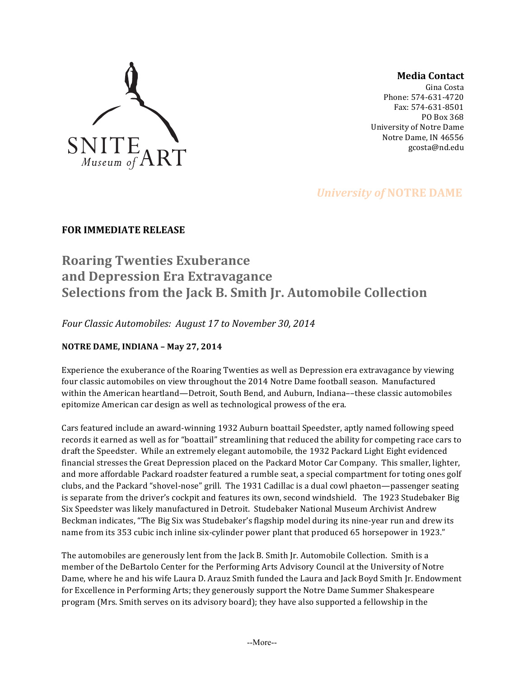

### **Media Contact**

Gina Costa Phone: 574-631-4720 Fax: 574-631-8501 PO Box 368 University of Notre Dame Notre Dame, IN 46556 gcosta@nd.edu

# *University of NOTRE DAME*

## **FOR IMMEDIATE RELEASE**

# **Roaring Twenties Exuberance and Depression Era Extravagance Selections from the Jack B. Smith Jr. Automobile Collection**

*Four Classic Automobiles: August 17 to November 30, 2014* 

### **NOTRE DAME, INDIANA – May 27, 2014**

Experience the exuberance of the Roaring Twenties as well as Depression era extravagance by viewing four classic automobiles on view throughout the 2014 Notre Dame football season. Manufactured within the American heartland—Detroit, South Bend, and Auburn, Indiana––these classic automobiles epitomize American car design as well as technological prowess of the era.

Cars featured include an award-winning 1932 Auburn boattail Speedster, aptly named following speed records it earned as well as for "boattail" streamlining that reduced the ability for competing race cars to draft the Speedster. While an extremely elegant automobile, the 1932 Packard Light Eight evidenced financial stresses the Great Depression placed on the Packard Motor Car Company. This smaller, lighter, and more affordable Packard roadster featured a rumble seat, a special compartment for toting ones golf clubs, and the Packard "shovel-nose" grill. The 1931 Cadillac is a dual cowl phaeton—passenger seating is separate from the driver's cockpit and features its own, second windshield. The 1923 Studebaker Big Six Speedster was likely manufactured in Detroit. Studebaker National Museum Archivist Andrew Beckman indicates, "The Big Six was Studebaker's flagship model during its nine-year run and drew its name from its 353 cubic inch inline six-cylinder power plant that produced 65 horsepower in 1923."

The automobiles are generously lent from the Jack B. Smith Jr. Automobile Collection. Smith is a member of the DeBartolo Center for the Performing Arts Advisory Council at the University of Notre Dame, where he and his wife Laura D. Arauz Smith funded the Laura and Jack Boyd Smith Jr. Endowment for Excellence in Performing Arts; they generously support the Notre Dame Summer Shakespeare program (Mrs. Smith serves on its advisory board); they have also supported a fellowship in the